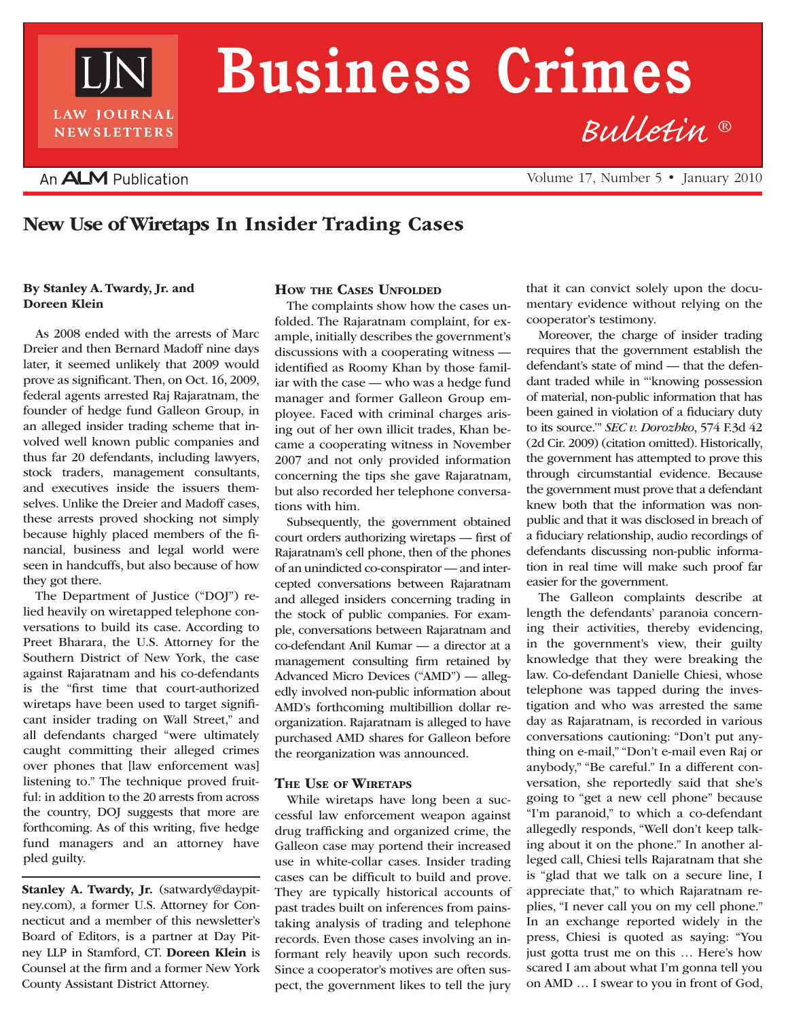

# **Business Crimes**

### An **ALM** Publication

Volume 17, Number 5 • January 2010

*Bulletin* ®

## New Use of Wiretaps In Insider Trading Cases

#### By Stanley A. Twardy, Jr. and Doreen Klein

As 2008 ended with the arrests of Marc Dreier and then Bernard Madoff nine days later, it seemed unlikely that 2009 would prove as significant. Then, on Oct. 16, 2009, federal agents arrested Raj Rajaratnam, the founder of hedge fund Galleon Group, in an alleged insider trading scheme that involved well known public companies and thus far 20 defendants, including lawyers, stock traders, management consultants, and executives inside the issuers themselves. Unlike the Dreier and Madoff cases, these arrests proved shocking not simply because highly placed members of the financial, business and legal world were seen in handcuffs, but also because of how they got there.

The Department of Justice ("DOJ") relied heavily on wiretapped telephone conversations to build its case. According to Preet Bharara, the U.S. Attorney for the Southern District of New York, the case against Rajaratnam and his co-defendants is the "first time that court-authorized wiretaps have been used to target significant insider trading on Wall Street," and all defendants charged "were ultimately caught committing their alleged crimes over phones that [law enforcement was] listening to." The technique proved fruitful: in addition to the 20 arrests from across the country, DOJ suggests that more are forthcoming. As of this writing, five hedge fund managers and an attorney have pled guilty.

Stanley A. Twardy, Jr. (satwardy@daypitney.com), a former U.S. Attorney for Connecticut and a member of this newsletter's Board of Editors, is a partner at Day Pitney LLP in Stamford, CT. Doreen Klein is Counsel at the firm and a former New York County Assistant District Attorney.

#### How the Cases Unfolded

The complaints show how the cases unfolded. The Rajaratnam complaint, for example, initially describes the government's discussions with a cooperating witness identified as Roomy Khan by those familiar with the case — who was a hedge fund manager and former Galleon Group employee. Faced with criminal charges arising out of her own illicit trades, Khan became a cooperating witness in November 2007 and not only provided information concerning the tips she gave Rajaratnam, but also recorded her telephone conversations with him.

Subsequently, the government obtained court orders authorizing wiretaps — first of Rajaratnam's cell phone, then of the phones of an unindicted co-conspirator — and intercepted conversations between Rajaratnam and alleged insiders concerning trading in the stock of public companies. For example, conversations between Rajaratnam and co-defendant Anil Kumar — a director at a management consulting firm retained by Advanced Micro Devices ("AMD") — allegedly involved non-public information about AMD's forthcoming multibillion dollar reorganization. Rajaratnam is alleged to have purchased AMD shares for Galleon before the reorganization was announced.

#### The Use of Wiretaps

While wiretaps have long been a successful law enforcement weapon against drug trafficking and organized crime, the Galleon case may portend their increased use in white-collar cases. Insider trading cases can be difficult to build and prove. They are typically historical accounts of past trades built on inferences from painstaking analysis of trading and telephone records. Even those cases involving an informant rely heavily upon such records. Since a cooperator's motives are often suspect, the government likes to tell the jury

that it can convict solely upon the documentary evidence without relying on the cooperator's testimony.

Moreover, the charge of insider trading requires that the government establish the defendant's state of mind — that the defendant traded while in "'knowing possession of material, non-public information that has been gained in violation of a fiduciary duty to its source.'" *SEC v. Dorozhko*, 574 F.3d 42 (2d Cir. 2009) (citation omitted). Historically, the government has attempted to prove this through circumstantial evidence. Because the government must prove that a defendant knew both that the information was nonpublic and that it was disclosed in breach of a fiduciary relationship, audio recordings of defendants discussing non-public information in real time will make such proof far easier for the government.

The Galleon complaints describe at length the defendants' paranoia concerning their activities, thereby evidencing, in the government's view, their guilty knowledge that they were breaking the law. Co-defendant Danielle Chiesi, whose telephone was tapped during the investigation and who was arrested the same day as Rajaratnam, is recorded in various conversations cautioning: "Don't put anything on e-mail," "Don't e-mail even Raj or anybody," "Be careful." In a different conversation, she reportedly said that she's going to "get a new cell phone" because "I'm paranoid," to which a co-defendant allegedly responds, "Well don't keep talking about it on the phone." In another alleged call, Chiesi tells Rajaratnam that she is "glad that we talk on a secure line, I appreciate that," to which Rajaratnam replies, "I never call you on my cell phone." In an exchange reported widely in the press, Chiesi is quoted as saying: "You just gotta trust me on this … Here's how scared I am about what I'm gonna tell you on AMD … I swear to you in front of God,